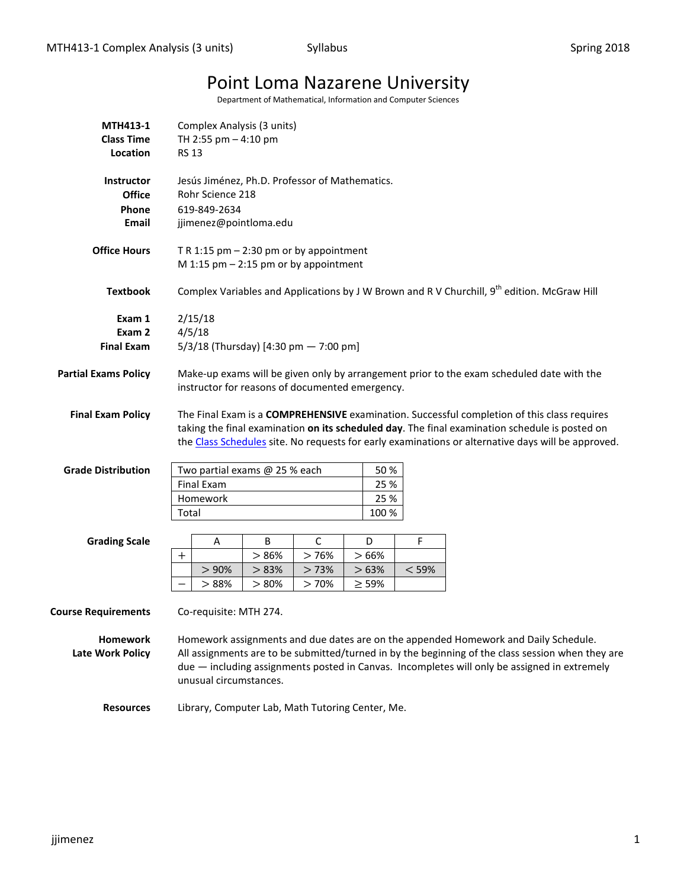# Point Loma Nazarene University

Department of Mathematical, Information and Computer Sciences

| MTH413-1<br><b>Class Time</b><br>Location            | Complex Analysis (3 units)<br>TH 2:55 pm - 4:10 pm<br><b>RS 13</b>                                                                                                                                                                                                                                                 |       |      |             |       |                                                                                             |  |  |  |  |  |
|------------------------------------------------------|--------------------------------------------------------------------------------------------------------------------------------------------------------------------------------------------------------------------------------------------------------------------------------------------------------------------|-------|------|-------------|-------|---------------------------------------------------------------------------------------------|--|--|--|--|--|
| Instructor<br><b>Office</b><br>Phone<br><b>Email</b> | Jesús Jiménez, Ph.D. Professor of Mathematics.<br>Rohr Science 218<br>619-849-2634<br>jjimenez@pointloma.edu                                                                                                                                                                                                       |       |      |             |       |                                                                                             |  |  |  |  |  |
| <b>Office Hours</b>                                  | T R 1:15 pm $-$ 2:30 pm or by appointment<br>M 1:15 pm $-$ 2:15 pm or by appointment                                                                                                                                                                                                                               |       |      |             |       |                                                                                             |  |  |  |  |  |
| <b>Textbook</b>                                      |                                                                                                                                                                                                                                                                                                                    |       |      |             |       | Complex Variables and Applications by J W Brown and R V Churchill, 9th edition. McGraw Hill |  |  |  |  |  |
| Exam 1<br>Exam 2<br><b>Final Exam</b>                | 2/15/18<br>4/5/18<br>5/3/18 (Thursday) [4:30 pm - 7:00 pm]                                                                                                                                                                                                                                                         |       |      |             |       |                                                                                             |  |  |  |  |  |
| <b>Partial Exams Policy</b>                          | Make-up exams will be given only by arrangement prior to the exam scheduled date with the<br>instructor for reasons of documented emergency.                                                                                                                                                                       |       |      |             |       |                                                                                             |  |  |  |  |  |
| <b>Final Exam Policy</b>                             | The Final Exam is a COMPREHENSIVE examination. Successful completion of this class requires<br>taking the final examination on its scheduled day. The final examination schedule is posted on<br>the Class Schedules site. No requests for early examinations or alternative days will be approved.                |       |      |             |       |                                                                                             |  |  |  |  |  |
| <b>Grade Distribution</b>                            | Two partial exams @ 25 % each                                                                                                                                                                                                                                                                                      |       | 50 % |             |       |                                                                                             |  |  |  |  |  |
|                                                      | Final Exam                                                                                                                                                                                                                                                                                                         |       |      | 25 %        |       |                                                                                             |  |  |  |  |  |
|                                                      | Homework                                                                                                                                                                                                                                                                                                           |       |      | 25 %        |       |                                                                                             |  |  |  |  |  |
|                                                      | Total                                                                                                                                                                                                                                                                                                              |       |      | 100 %       |       |                                                                                             |  |  |  |  |  |
| <b>Grading Scale</b>                                 | Α                                                                                                                                                                                                                                                                                                                  | В     | C    | D           | F     |                                                                                             |  |  |  |  |  |
|                                                      | $^{+}$                                                                                                                                                                                                                                                                                                             | >86%  | >76% | >66%        |       |                                                                                             |  |  |  |  |  |
|                                                      | > 90%                                                                                                                                                                                                                                                                                                              | > 83% | >73% | >63%        | < 59% |                                                                                             |  |  |  |  |  |
|                                                      | >88%                                                                                                                                                                                                                                                                                                               | > 80% | >70% | $\geq 59\%$ |       |                                                                                             |  |  |  |  |  |
| <b>Course Requirements</b>                           | Co-requisite: MTH 274.                                                                                                                                                                                                                                                                                             |       |      |             |       |                                                                                             |  |  |  |  |  |
| <b>Homework</b><br><b>Late Work Policy</b>           | Homework assignments and due dates are on the appended Homework and Daily Schedule.<br>All assignments are to be submitted/turned in by the beginning of the class session when they are<br>due - including assignments posted in Canvas. Incompletes will only be assigned in extremely<br>unusual circumstances. |       |      |             |       |                                                                                             |  |  |  |  |  |
| <b>Resources</b>                                     | Library, Computer Lab, Math Tutoring Center, Me.                                                                                                                                                                                                                                                                   |       |      |             |       |                                                                                             |  |  |  |  |  |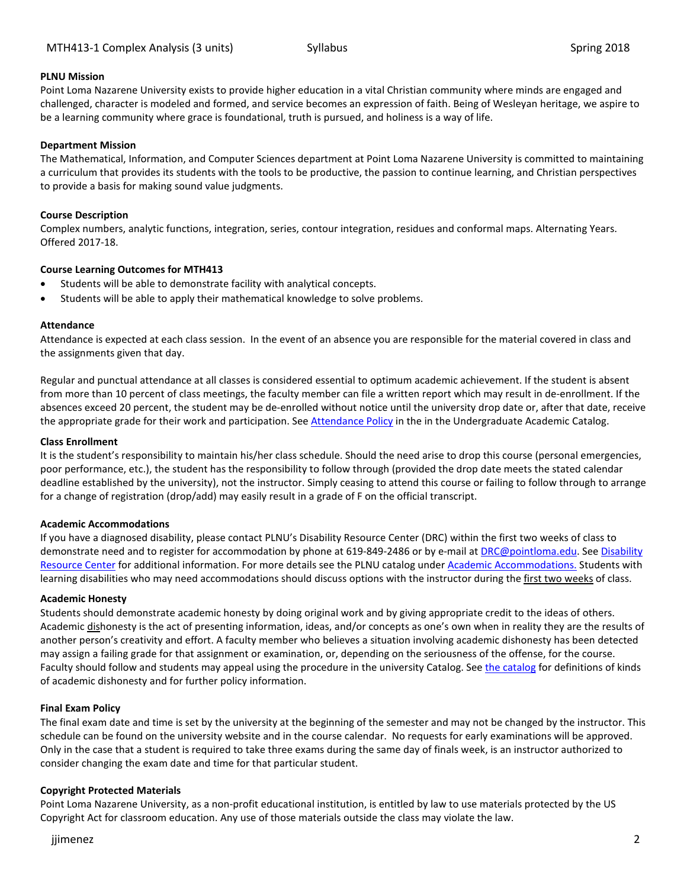# **PLNU Mission**

Point Loma Nazarene University exists to provide higher education in a vital Christian community where minds are engaged and challenged, character is modeled and formed, and service becomes an expression of faith. Being of Wesleyan heritage, we aspire to be a learning community where grace is foundational, truth is pursued, and holiness is a way of life.

#### **Department Mission**

The Mathematical, Information, and Computer Sciences department at Point Loma Nazarene University is committed to maintaining a curriculum that provides its students with the tools to be productive, the passion to continue learning, and Christian perspectives to provide a basis for making sound value judgments.

#### **Course Description**

Complex numbers, analytic functions, integration, series, contour integration, residues and conformal maps. Alternating Years. Offered 2017-18.

### **Course Learning Outcomes for MTH413**

- Students will be able to demonstrate facility with analytical concepts.
- Students will be able to apply their mathematical knowledge to solve problems.

#### **Attendance**

Attendance is expected at each class session. In the event of an absence you are responsible for the material covered in class and the assignments given that day.

Regular and punctual attendance at all classes is considered essential to optimum academic achievement. If the student is absent from more than 10 percent of class meetings, the faculty member can file a written report which may result in de-enrollment. If the absences exceed 20 percent, the student may be de-enrolled without notice until the university drop date or, after that date, receive the appropriate grade for their work and participation. See [Attendance Policy](https://catalog.pointloma.edu/content.php?catoid=28&navoid=1761#Class_Attendance) in the in the Undergraduate Academic Catalog.

#### **Class Enrollment**

It is the student's responsibility to maintain his/her class schedule. Should the need arise to drop this course (personal emergencies, poor performance, etc.), the student has the responsibility to follow through (provided the drop date meets the stated calendar deadline established by the university), not the instructor. Simply ceasing to attend this course or failing to follow through to arrange for a change of registration (drop/add) may easily result in a grade of F on the official transcript.

#### **Academic Accommodations**

If you have a diagnosed disability, please contact PLNU's Disability Resource Center (DRC) within the first two weeks of class to demonstrate need and to register for accommodation by phone at 619-849-2486 or by e-mail a[t DRC@pointloma.edu.](mailto:DRC@pointloma.edu) See [Disability](http://www.pointloma.edu/experience/offices/administrative-offices/academic-advising-office/disability-resource-center)  [Resource Center](http://www.pointloma.edu/experience/offices/administrative-offices/academic-advising-office/disability-resource-center) for additional information. For more details see the PLNU catalog under [Academic Accommodations.](https://catalog.pointloma.edu/content.php?catoid=28&navoid=1761#Academic_Accommodations) Students with learning disabilities who may need accommodations should discuss options with the instructor during the first two weeks of class.

#### **Academic Honesty**

Students should demonstrate academic honesty by doing original work and by giving appropriate credit to the ideas of others. Academic dishonesty is the act of presenting information, ideas, and/or concepts as one's own when in reality they are the results of another person's creativity and effort. A faculty member who believes a situation involving academic dishonesty has been detected may assign a failing grade for that assignment or examination, or, depending on the seriousness of the offense, for the course. Faculty should follow and students may appeal using the procedure in the university Catalog. Se[e the catalog](https://catalog.pointloma.edu/content.php?catoid=28&navoid=1761#Academic_Honesty) for definitions of kinds of academic dishonesty and for further policy information.

#### **Final Exam Policy**

The final exam date and time is set by the university at the beginning of the semester and may not be changed by the instructor. This schedule can be found on the university website and in the course calendar. No requests for early examinations will be approved. Only in the case that a student is required to take three exams during the same day of finals week, is an instructor authorized to consider changing the exam date and time for that particular student.

#### **Copyright Protected Materials**

Point Loma Nazarene University, as a non-profit educational institution, is entitled by law to use materials protected by the US Copyright Act for classroom education. Any use of those materials outside the class may violate the law.